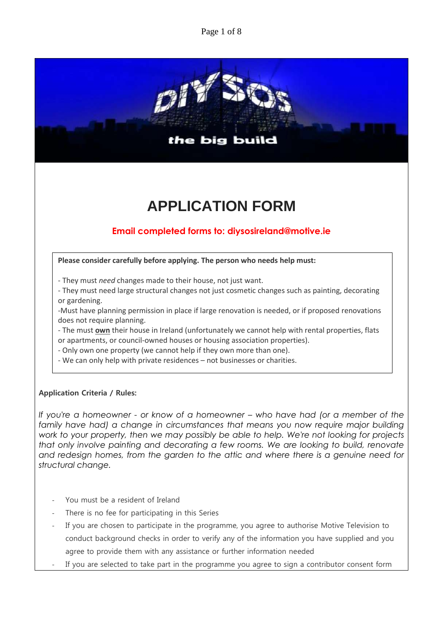Page 1 of 8



# **APPLICATION FORM**

# **Email completed forms to: diysosireland@motive.ie**

**Please consider carefully before applying. The person who needs help must:**

- They must *need* changes made to their house, not just want.
- They must need large structural changes not just cosmetic changes such as painting, decorating or gardening.

-Must have planning permission in place if large renovation is needed, or if proposed renovations does not require planning.

- The must **own** their house in Ireland (unfortunately we cannot help with rental properties, flats or apartments, or council-owned houses or housing association properties).

- Only own one property (we cannot help if they own more than one).

- We can only help with private residences – not businesses or charities.

## **Application Criteria / Rules:**

*If you're a homeowner - or know of a homeowner – who have had (or a member of the family have had) a change in circumstances that means you now require major building work to your property, then we may possibly be able to help. We're not looking for projects that only involve painting and decorating a few rooms. We are looking to build, renovate and redesign homes, from the garden to the attic and where there is a genuine need for structural change.*

- You must be a resident of Ireland
- There is no fee for participating in this Series
- If you are chosen to participate in the programme, you agree to authorise Motive Television to conduct background checks in order to verify any of the information you have supplied and you agree to provide them with any assistance or further information needed
- If you are selected to take part in the programme you agree to sign a contributor consent form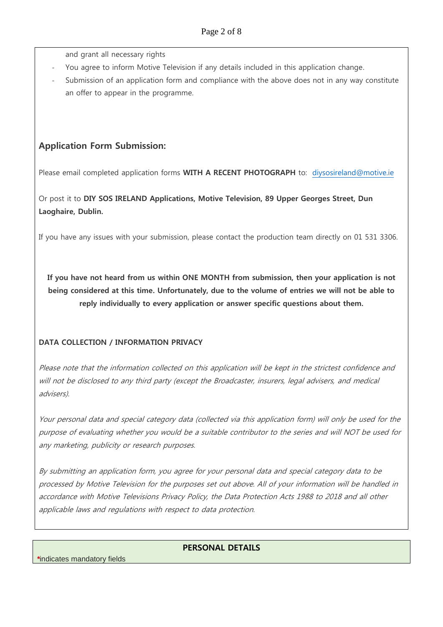and grant all necessary rights

- You agree to inform Motive Television if any details included in this application change.
- Submission of an application form and compliance with the above does not in any way constitute an offer to appear in the programme.

## **Application Form Submission:**

Please email completed application forms **WITH A RECENT PHOTOGRAPH** to: [diysosireland@motive.ie](mailto:diysosireland@motive.ie)

Or post it to **DIY SOS IRELAND Applications, Motive Television, 89 Upper Georges Street, Dun Laoghaire, Dublin.** 

If you have any issues with your submission, please contact the production team directly on 01 531 3306.

**If you have not heard from us within ONE MONTH from submission, then your application is not being considered at this time. Unfortunately, due to the volume of entries we will not be able to reply individually to every application or answer specific questions about them.**

## **DATA COLLECTION / INFORMATION PRIVACY**

Please note that the information collected on this application will be kept in the strictest confidence and will not be disclosed to any third party (except the Broadcaster, insurers, legal advisers, and medical advisers).

Your personal data and special category data (collected via this application form) will only be used for the purpose of evaluating whether you would be a suitable contributor to the series and will NOT be used for any marketing, publicity or research purposes.

By submitting an application form, you agree for your personal data and special category data to be processed by Motive Television for the purposes set out above. All of your information will be handled in accordance with Motive Televisions Privacy Policy, the Data Protection Acts 1988 to 2018 and all other applicable laws and regulations with respect to data protection.

#### **PERSONAL DETAILS**

*\**indicates mandatory fields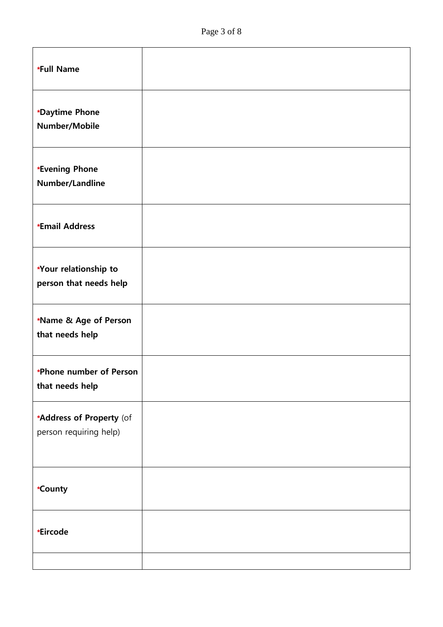| *Full Name                                         |  |
|----------------------------------------------------|--|
| *Daytime Phone<br>Number/Mobile                    |  |
| *Evening Phone<br>Number/Landline                  |  |
| *Email Address                                     |  |
| *Your relationship to<br>person that needs help    |  |
| *Name & Age of Person<br>that needs help           |  |
| *Phone number of Person<br>that needs help         |  |
| *Address of Property (of<br>person requiring help) |  |
| *County                                            |  |
| *Eircode                                           |  |
|                                                    |  |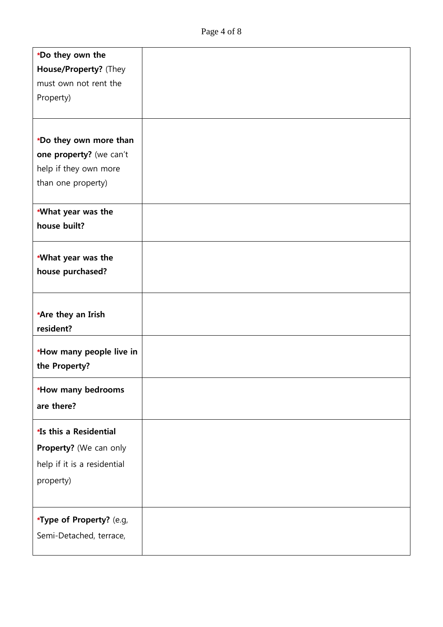| *Do they own the             |  |
|------------------------------|--|
| House/Property? (They        |  |
| must own not rent the        |  |
| Property)                    |  |
|                              |  |
|                              |  |
| *Do they own more than       |  |
| one property? (we can't      |  |
| help if they own more        |  |
| than one property)           |  |
| *What year was the           |  |
| house built?                 |  |
|                              |  |
| *What year was the           |  |
| house purchased?             |  |
|                              |  |
| *Are they an Irish           |  |
| resident?                    |  |
| *How many people live in     |  |
| the Property?                |  |
| *How many bedrooms           |  |
| are there?                   |  |
|                              |  |
| <b>15 this a Residential</b> |  |
| Property? (We can only       |  |
| help if it is a residential  |  |
| property)                    |  |
|                              |  |
| *Type of Property? (e.g,     |  |
| Semi-Detached, terrace,      |  |
|                              |  |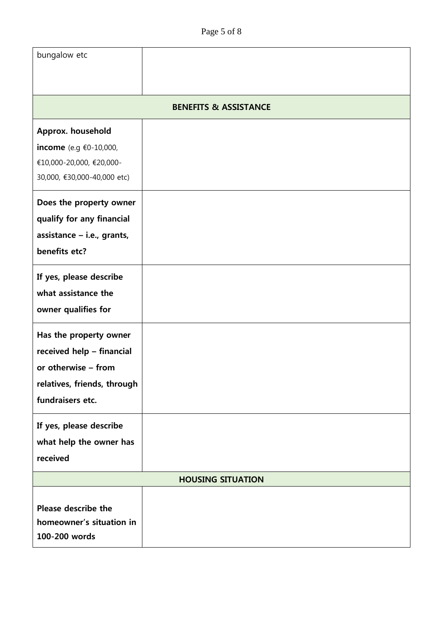| bungalow etc                              |  |  |
|-------------------------------------------|--|--|
|                                           |  |  |
| <b>BENEFITS &amp; ASSISTANCE</b>          |  |  |
| Approx. household                         |  |  |
| income (e.g €0-10,000,                    |  |  |
| €10,000-20,000, €20,000-                  |  |  |
| 30,000, €30,000-40,000 etc)               |  |  |
| Does the property owner                   |  |  |
| qualify for any financial                 |  |  |
| assistance - i.e., grants,                |  |  |
| benefits etc?                             |  |  |
| If yes, please describe                   |  |  |
| what assistance the                       |  |  |
| owner qualifies for                       |  |  |
| Has the property owner                    |  |  |
| received help - financial                 |  |  |
| or otherwise - from                       |  |  |
| relatives, friends, through               |  |  |
| fundraisers etc.                          |  |  |
| If yes, please describe                   |  |  |
| what help the owner has                   |  |  |
| received                                  |  |  |
| <b>HOUSING SITUATION</b>                  |  |  |
|                                           |  |  |
| Please describe the                       |  |  |
| homeowner's situation in<br>100-200 words |  |  |
|                                           |  |  |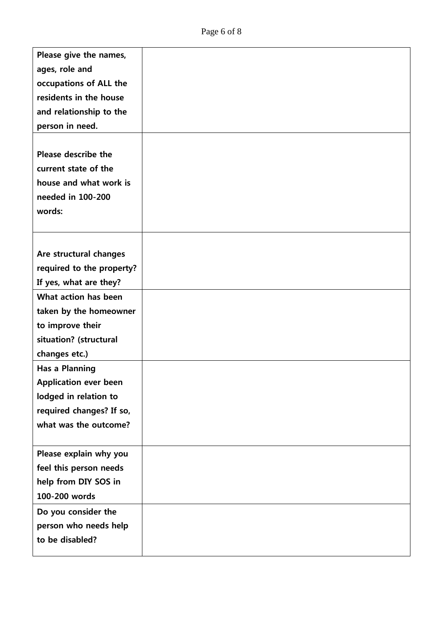| Please give the names,       |  |
|------------------------------|--|
| ages, role and               |  |
| occupations of ALL the       |  |
| residents in the house       |  |
| and relationship to the      |  |
| person in need.              |  |
|                              |  |
| Please describe the          |  |
| current state of the         |  |
| house and what work is       |  |
| needed in 100-200            |  |
| words:                       |  |
|                              |  |
|                              |  |
| Are structural changes       |  |
| required to the property?    |  |
| If yes, what are they?       |  |
| What action has been         |  |
| taken by the homeowner       |  |
| to improve their             |  |
| situation? (structural       |  |
| changes etc.)                |  |
| <b>Has a Planning</b>        |  |
| <b>Application ever been</b> |  |
| lodged in relation to        |  |
| required changes? If so,     |  |
| what was the outcome?        |  |
|                              |  |
| Please explain why you       |  |
| feel this person needs       |  |
| help from DIY SOS in         |  |
| 100-200 words                |  |
| Do you consider the          |  |
| person who needs help        |  |
| to be disabled?              |  |
|                              |  |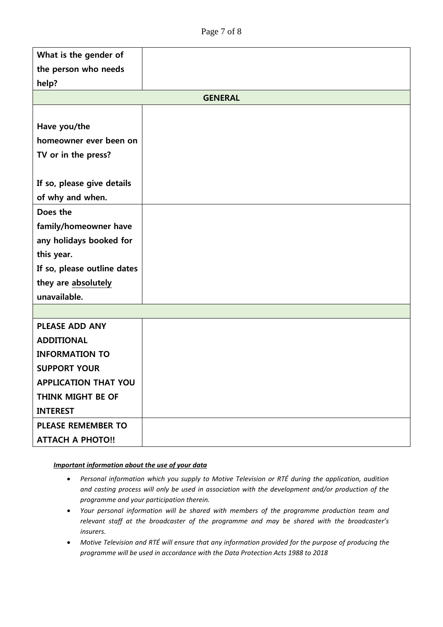| What is the gender of       |  |  |
|-----------------------------|--|--|
| the person who needs        |  |  |
| help?                       |  |  |
| <b>GENERAL</b>              |  |  |
|                             |  |  |
| Have you/the                |  |  |
| homeowner ever been on      |  |  |
| TV or in the press?         |  |  |
|                             |  |  |
| If so, please give details  |  |  |
| of why and when.            |  |  |
| Does the                    |  |  |
| family/homeowner have       |  |  |
| any holidays booked for     |  |  |
| this year.                  |  |  |
| If so, please outline dates |  |  |
| they are absolutely         |  |  |
| unavailable.                |  |  |
|                             |  |  |
| <b>PLEASE ADD ANY</b>       |  |  |
| <b>ADDITIONAL</b>           |  |  |
| <b>INFORMATION TO</b>       |  |  |
| <b>SUPPORT YOUR</b>         |  |  |
| <b>APPLICATION THAT YOU</b> |  |  |
| THINK MIGHT BE OF           |  |  |
| <b>INTEREST</b>             |  |  |
| <b>PLEASE REMEMBER TO</b>   |  |  |
| <b>ATTACH A PHOTO!!</b>     |  |  |

#### *Important information about the use of your data*

- *Personal information which you supply to Motive Television or RTÉ during the application, audition and casting process will only be used in association with the development and/or production of the programme and your participation therein.*
- *Your personal information will be shared with members of the programme production team and relevant staff at the broadcaster of the programme and may be shared with the broadcaster's insurers.*
- *Motive Television and RTÉ will ensure that any information provided for the purpose of producing the programme will be used in accordance with the Data Protection Acts 1988 to 2018*